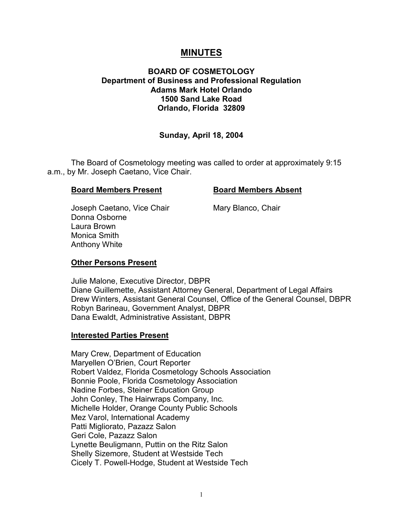# **MINUTES**

# **BOARD OF COSMETOLOGY Department of Business and Professional Regulation Adams Mark Hotel Orlando 1500 Sand Lake Road Orlando, Florida 32809**

# **Sunday, April 18, 2004**

The Board of Cosmetology meeting was called to order at approximately 9:15 a.m., by Mr. Joseph Caetano, Vice Chair.

#### **Board Members Present Constrained Board Members Absent**

Joseph Caetano, Vice Chair Mary Blanco, Chair Donna Osborne Laura Brown Monica Smith Anthony White

## **Other Persons Present**

Julie Malone, Executive Director, DBPR Diane Guillemette, Assistant Attorney General, Department of Legal Affairs Drew Winters, Assistant General Counsel, Office of the General Counsel, DBPR Robyn Barineau, Government Analyst, DBPR Dana Ewaldt, Administrative Assistant, DBPR

## **Interested Parties Present**

Mary Crew, Department of Education Maryellen O'Brien, Court Reporter Robert Valdez, Florida Cosmetology Schools Association Bonnie Poole, Florida Cosmetology Association Nadine Forbes, Steiner Education Group John Conley, The Hairwraps Company, Inc. Michelle Holder, Orange County Public Schools Mez Varol, International Academy Patti Migliorato, Pazazz Salon Geri Cole, Pazazz Salon Lynette Beuligmann, Puttin on the Ritz Salon Shelly Sizemore, Student at Westside Tech Cicely T. Powell-Hodge, Student at Westside Tech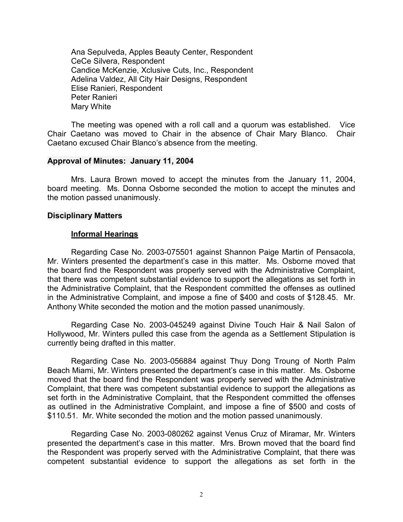Ana Sepulveda, Apples Beauty Center, Respondent CeCe Silvera, Respondent Candice McKenzie, Xclusive Cuts, Inc., Respondent Adelina Valdez, All City Hair Designs, Respondent Elise Ranieri, Respondent Peter Ranieri Mary White

The meeting was opened with a roll call and a quorum was established. Vice Chair Caetano was moved to Chair in the absence of Chair Mary Blanco. Chair Caetano excused Chair Blanco's absence from the meeting.

#### **Approval of Minutes: January 11, 2004**

Mrs. Laura Brown moved to accept the minutes from the January 11, 2004, board meeting. Ms. Donna Osborne seconded the motion to accept the minutes and the motion passed unanimously.

#### **Disciplinary Matters**

## **Informal Hearings**

Regarding Case No. 2003-075501 against Shannon Paige Martin of Pensacola, Mr. Winters presented the department's case in this matter. Ms. Osborne moved that the board find the Respondent was properly served with the Administrative Complaint, that there was competent substantial evidence to support the allegations as set forth in the Administrative Complaint, that the Respondent committed the offenses as outlined in the Administrative Complaint, and impose a fine of \$400 and costs of \$128.45. Mr. Anthony White seconded the motion and the motion passed unanimously.

Regarding Case No. 2003-045249 against Divine Touch Hair & Nail Salon of Hollywood, Mr. Winters pulled this case from the agenda as a Settlement Stipulation is currently being drafted in this matter.

Regarding Case No. 2003-056884 against Thuy Dong Troung of North Palm Beach Miami, Mr. Winters presented the department's case in this matter. Ms. Osborne moved that the board find the Respondent was properly served with the Administrative Complaint, that there was competent substantial evidence to support the allegations as set forth in the Administrative Complaint, that the Respondent committed the offenses as outlined in the Administrative Complaint, and impose a fine of \$500 and costs of \$110.51. Mr. White seconded the motion and the motion passed unanimously.

Regarding Case No. 2003-080262 against Venus Cruz of Miramar, Mr. Winters presented the department's case in this matter. Mrs. Brown moved that the board find the Respondent was properly served with the Administrative Complaint, that there was competent substantial evidence to support the allegations as set forth in the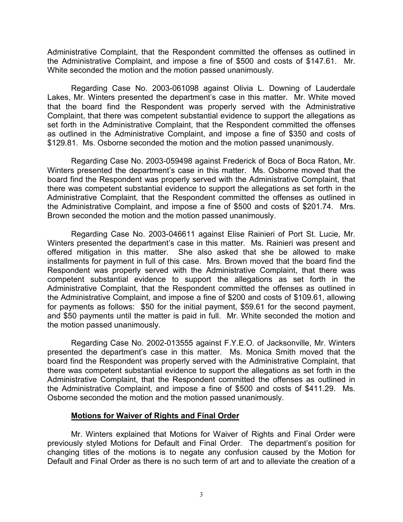Administrative Complaint, that the Respondent committed the offenses as outlined in the Administrative Complaint, and impose a fine of \$500 and costs of \$147.61. Mr. White seconded the motion and the motion passed unanimously.

Regarding Case No. 2003-061098 against Olivia L. Downing of Lauderdale Lakes, Mr. Winters presented the department's case in this matter. Mr. White moved that the board find the Respondent was properly served with the Administrative Complaint, that there was competent substantial evidence to support the allegations as set forth in the Administrative Complaint, that the Respondent committed the offenses as outlined in the Administrative Complaint, and impose a fine of \$350 and costs of \$129.81. Ms. Osborne seconded the motion and the motion passed unanimously.

Regarding Case No. 2003-059498 against Frederick of Boca of Boca Raton, Mr. Winters presented the department's case in this matter. Ms. Osborne moved that the board find the Respondent was properly served with the Administrative Complaint, that there was competent substantial evidence to support the allegations as set forth in the Administrative Complaint, that the Respondent committed the offenses as outlined in the Administrative Complaint, and impose a fine of \$500 and costs of \$201.74. Mrs. Brown seconded the motion and the motion passed unanimously.

Regarding Case No. 2003-046611 against Elise Rainieri of Port St. Lucie, Mr. Winters presented the department's case in this matter. Ms. Rainieri was present and offered mitigation in this matter. She also asked that she be allowed to make installments for payment in full of this case. Mrs. Brown moved that the board find the Respondent was properly served with the Administrative Complaint, that there was competent substantial evidence to support the allegations as set forth in the Administrative Complaint, that the Respondent committed the offenses as outlined in the Administrative Complaint, and impose a fine of \$200 and costs of \$109.61, allowing for payments as follows: \$50 for the initial payment, \$59.61 for the second payment, and \$50 payments until the matter is paid in full. Mr. White seconded the motion and the motion passed unanimously.

Regarding Case No. 2002-013555 against F.Y.E.O. of Jacksonville, Mr. Winters presented the department's case in this matter. Ms. Monica Smith moved that the board find the Respondent was properly served with the Administrative Complaint, that there was competent substantial evidence to support the allegations as set forth in the Administrative Complaint, that the Respondent committed the offenses as outlined in the Administrative Complaint, and impose a fine of \$500 and costs of \$411.29. Ms. Osborne seconded the motion and the motion passed unanimously.

## **Motions for Waiver of Rights and Final Order**

Mr. Winters explained that Motions for Waiver of Rights and Final Order were previously styled Motions for Default and Final Order. The department's position for changing titles of the motions is to negate any confusion caused by the Motion for Default and Final Order as there is no such term of art and to alleviate the creation of a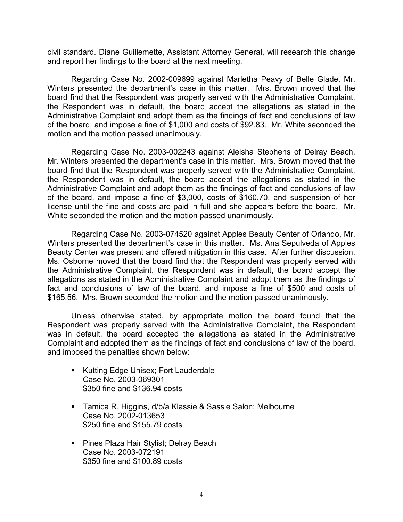civil standard. Diane Guillemette, Assistant Attorney General, will research this change and report her findings to the board at the next meeting.

Regarding Case No. 2002-009699 against Marletha Peavy of Belle Glade, Mr. Winters presented the department's case in this matter. Mrs. Brown moved that the board find that the Respondent was properly served with the Administrative Complaint, the Respondent was in default, the board accept the allegations as stated in the Administrative Complaint and adopt them as the findings of fact and conclusions of law of the board, and impose a fine of \$1,000 and costs of \$92.83. Mr. White seconded the motion and the motion passed unanimously.

Regarding Case No. 2003-002243 against Aleisha Stephens of Delray Beach, Mr. Winters presented the department's case in this matter. Mrs. Brown moved that the board find that the Respondent was properly served with the Administrative Complaint, the Respondent was in default, the board accept the allegations as stated in the Administrative Complaint and adopt them as the findings of fact and conclusions of law of the board, and impose a fine of \$3,000, costs of \$160.70, and suspension of her license until the fine and costs are paid in full and she appears before the board. Mr. White seconded the motion and the motion passed unanimously.

Regarding Case No. 2003-074520 against Apples Beauty Center of Orlando, Mr. Winters presented the department's case in this matter. Ms. Ana Sepulveda of Apples Beauty Center was present and offered mitigation in this case. After further discussion, Ms. Osborne moved that the board find that the Respondent was properly served with the Administrative Complaint, the Respondent was in default, the board accept the allegations as stated in the Administrative Complaint and adopt them as the findings of fact and conclusions of law of the board, and impose a fine of \$500 and costs of \$165.56. Mrs. Brown seconded the motion and the motion passed unanimously.

Unless otherwise stated, by appropriate motion the board found that the Respondent was properly served with the Administrative Complaint, the Respondent was in default, the board accepted the allegations as stated in the Administrative Complaint and adopted them as the findings of fact and conclusions of law of the board, and imposed the penalties shown below:

- Kutting Edge Unisex; Fort Lauderdale Case No. 2003-069301 \$350 fine and \$136.94 costs
- Tamica R. Higgins, d/b/a Klassie & Sassie Salon; Melbourne Case No. 2002-013653 \$250 fine and \$155.79 costs
- **Pines Plaza Hair Stylist; Delray Beach** Case No. 2003-072191 \$350 fine and \$100.89 costs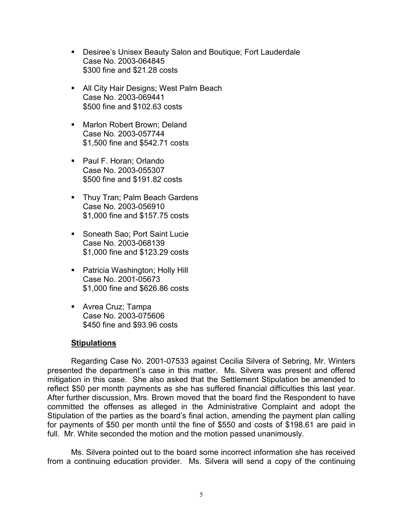- Desiree's Unisex Beauty Salon and Boutique; Fort Lauderdale Case No. 2003-064845 \$300 fine and \$21.28 costs
- **All City Hair Designs; West Palm Beach** Case No. 2003-069441 \$500 fine and \$102.63 costs
- **Marlon Robert Brown; Deland** Case No. 2003-057744 \$1,500 fine and \$542.71 costs
- Paul F. Horan; Orlando Case No. 2003-055307 \$500 fine and \$191.82 costs
- **Thuy Tran; Palm Beach Gardens** Case No. 2003-056910 \$1,000 fine and \$157.75 costs
- **Soneath Sao; Port Saint Lucie** Case No. 2003-068139 \$1,000 fine and \$123.29 costs
- **Patricia Washington; Holly Hill** Case No. 2001-05673 \$1,000 fine and \$626.86 costs
- **Avrea Cruz; Tampa** Case No. 2003-075606 \$450 fine and \$93.96 costs

# **Stipulations**

Regarding Case No. 2001-07533 against Cecilia Silvera of Sebring, Mr. Winters presented the department's case in this matter. Ms. Silvera was present and offered mitigation in this case. She also asked that the Settlement Stipulation be amended to reflect \$50 per month payments as she has suffered financial difficulties this last year. After further discussion, Mrs. Brown moved that the board find the Respondent to have committed the offenses as alleged in the Administrative Complaint and adopt the Stipulation of the parties as the board's final action, amending the payment plan calling for payments of \$50 per month until the fine of \$550 and costs of \$198.61 are paid in full. Mr. White seconded the motion and the motion passed unanimously.

Ms. Silvera pointed out to the board some incorrect information she has received from a continuing education provider. Ms. Silvera will send a copy of the continuing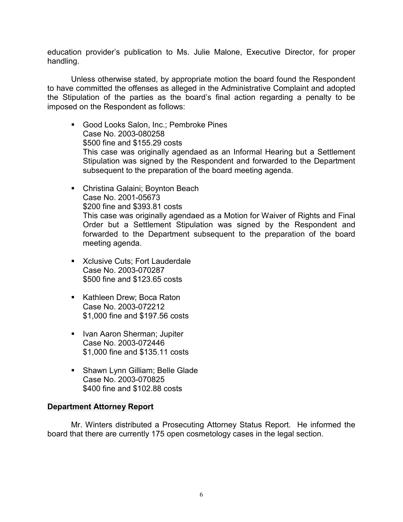education provider's publication to Ms. Julie Malone, Executive Director, for proper handling.

Unless otherwise stated, by appropriate motion the board found the Respondent to have committed the offenses as alleged in the Administrative Complaint and adopted the Stipulation of the parties as the board's final action regarding a penalty to be imposed on the Respondent as follows:

- Good Looks Salon, Inc.; Pembroke Pines Case No. 2003-080258 \$500 fine and \$155.29 costs This case was originally agendaed as an Informal Hearing but a Settlement Stipulation was signed by the Respondent and forwarded to the Department subsequent to the preparation of the board meeting agenda.
- Christina Galaini; Boynton Beach Case No. 2001-05673 \$200 fine and \$393.81 costs This case was originally agendaed as a Motion for Waiver of Rights and Final Order but a Settlement Stipulation was signed by the Respondent and forwarded to the Department subsequent to the preparation of the board meeting agenda.
- **K**clusive Cuts; Fort Lauderdale Case No. 2003-070287 \$500 fine and \$123.65 costs
- Kathleen Drew; Boca Raton Case No. 2003-072212 \$1,000 fine and \$197.56 costs
- **IVan Aaron Sherman; Jupiter** Case No. 2003-072446 \$1,000 fine and \$135.11 costs
- **Shawn Lynn Gilliam; Belle Glade** Case No. 2003-070825 \$400 fine and \$102.88 costs

# **Department Attorney Report**

Mr. Winters distributed a Prosecuting Attorney Status Report. He informed the board that there are currently 175 open cosmetology cases in the legal section.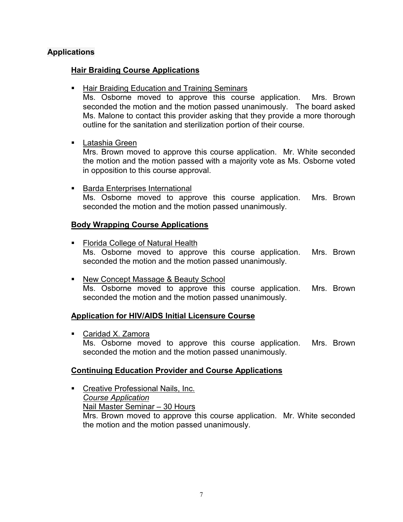# **Applications**

# **Hair Braiding Course Applications**

**Hair Braiding Education and Training Seminars** 

Ms. Osborne moved to approve this course application. Mrs. Brown seconded the motion and the motion passed unanimously. The board asked Ms. Malone to contact this provider asking that they provide a more thorough outline for the sanitation and sterilization portion of their course.

Latashia Green

Mrs. Brown moved to approve this course application. Mr. White seconded the motion and the motion passed with a majority vote as Ms. Osborne voted in opposition to this course approval.

Barda Enterprises International

Ms. Osborne moved to approve this course application. Mrs. Brown seconded the motion and the motion passed unanimously.

# **Body Wrapping Course Applications**

- **Florida College of Natural Health** Ms. Osborne moved to approve this course application. Mrs. Brown seconded the motion and the motion passed unanimously.
- New Concept Massage & Beauty School Ms. Osborne moved to approve this course application. Mrs. Brown seconded the motion and the motion passed unanimously.

# **Application for HIV/AIDS Initial Licensure Course**

■ Caridad X. Zamora Ms. Osborne moved to approve this course application. Mrs. Brown seconded the motion and the motion passed unanimously.

# **Continuing Education Provider and Course Applications**

 Creative Professional Nails, Inc. *Course Application* Nail Master Seminar – 30 Hours Mrs. Brown moved to approve this course application. Mr. White seconded the motion and the motion passed unanimously.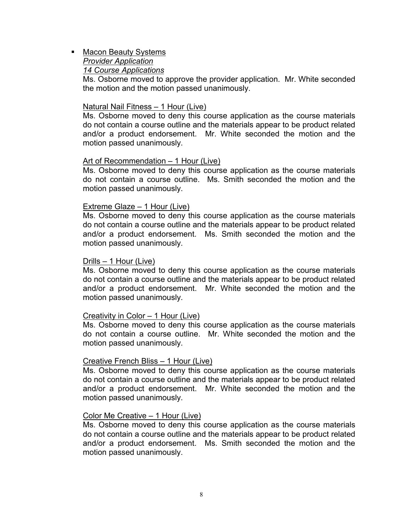# **Macon Beauty Systems** *Provider Application 14 Course Applications*

Ms. Osborne moved to approve the provider application. Mr. White seconded the motion and the motion passed unanimously.

## Natural Nail Fitness – 1 Hour (Live)

Ms. Osborne moved to deny this course application as the course materials do not contain a course outline and the materials appear to be product related and/or a product endorsement. Mr. White seconded the motion and the motion passed unanimously.

#### Art of Recommendation – 1 Hour (Live)

Ms. Osborne moved to deny this course application as the course materials do not contain a course outline. Ms. Smith seconded the motion and the motion passed unanimously.

#### Extreme Glaze – 1 Hour (Live)

Ms. Osborne moved to deny this course application as the course materials do not contain a course outline and the materials appear to be product related and/or a product endorsement. Ms. Smith seconded the motion and the motion passed unanimously.

#### Drills – 1 Hour (Live)

Ms. Osborne moved to deny this course application as the course materials do not contain a course outline and the materials appear to be product related and/or a product endorsement. Mr. White seconded the motion and the motion passed unanimously.

### Creativity in Color – 1 Hour (Live)

Ms. Osborne moved to deny this course application as the course materials do not contain a course outline. Mr. White seconded the motion and the motion passed unanimously.

## Creative French Bliss – 1 Hour (Live)

Ms. Osborne moved to deny this course application as the course materials do not contain a course outline and the materials appear to be product related and/or a product endorsement. Mr. White seconded the motion and the motion passed unanimously.

#### Color Me Creative – 1 Hour (Live)

Ms. Osborne moved to deny this course application as the course materials do not contain a course outline and the materials appear to be product related and/or a product endorsement. Ms. Smith seconded the motion and the motion passed unanimously.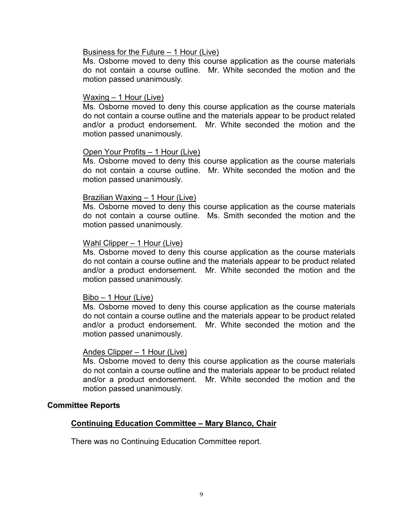#### Business for the Future – 1 Hour (Live)

Ms. Osborne moved to deny this course application as the course materials do not contain a course outline. Mr. White seconded the motion and the motion passed unanimously.

### Waxing – 1 Hour (Live)

Ms. Osborne moved to deny this course application as the course materials do not contain a course outline and the materials appear to be product related and/or a product endorsement. Mr. White seconded the motion and the motion passed unanimously.

#### Open Your Profits – 1 Hour (Live)

Ms. Osborne moved to deny this course application as the course materials do not contain a course outline. Mr. White seconded the motion and the motion passed unanimously.

#### Brazilian Waxing – 1 Hour (Live)

Ms. Osborne moved to deny this course application as the course materials do not contain a course outline. Ms. Smith seconded the motion and the motion passed unanimously.

#### Wahl Clipper – 1 Hour (Live)

Ms. Osborne moved to deny this course application as the course materials do not contain a course outline and the materials appear to be product related and/or a product endorsement. Mr. White seconded the motion and the motion passed unanimously.

#### Bibo – 1 Hour (Live)

Ms. Osborne moved to deny this course application as the course materials do not contain a course outline and the materials appear to be product related and/or a product endorsement. Mr. White seconded the motion and the motion passed unanimously.

#### Andes Clipper – 1 Hour (Live)

Ms. Osborne moved to deny this course application as the course materials do not contain a course outline and the materials appear to be product related and/or a product endorsement. Mr. White seconded the motion and the motion passed unanimously.

#### **Committee Reports**

# **Continuing Education Committee – Mary Blanco, Chair**

There was no Continuing Education Committee report.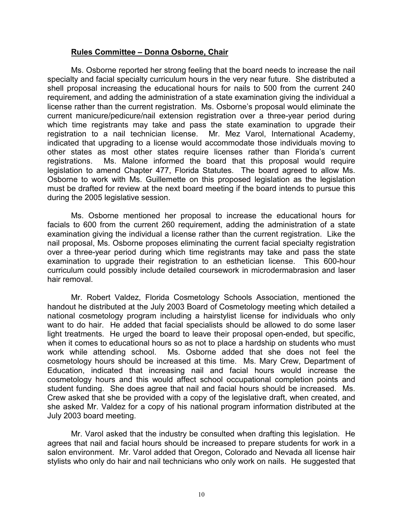## **Rules Committee – Donna Osborne, Chair**

Ms. Osborne reported her strong feeling that the board needs to increase the nail specialty and facial specialty curriculum hours in the very near future. She distributed a shell proposal increasing the educational hours for nails to 500 from the current 240 requirement, and adding the administration of a state examination giving the individual a license rather than the current registration. Ms. Osborne's proposal would eliminate the current manicure/pedicure/nail extension registration over a three-year period during which time registrants may take and pass the state examination to upgrade their registration to a nail technician license. Mr. Mez Varol, International Academy, indicated that upgrading to a license would accommodate those individuals moving to other states as most other states require licenses rather than Florida's current registrations. Ms. Malone informed the board that this proposal would require legislation to amend Chapter 477, Florida Statutes. The board agreed to allow Ms. Osborne to work with Ms. Guillemette on this proposed legislation as the legislation must be drafted for review at the next board meeting if the board intends to pursue this during the 2005 legislative session.

Ms. Osborne mentioned her proposal to increase the educational hours for facials to 600 from the current 260 requirement, adding the administration of a state examination giving the individual a license rather than the current registration. Like the nail proposal, Ms. Osborne proposes eliminating the current facial specialty registration over a three-year period during which time registrants may take and pass the state examination to upgrade their registration to an esthetician license. This 600-hour curriculum could possibly include detailed coursework in microdermabrasion and laser hair removal.

Mr. Robert Valdez, Florida Cosmetology Schools Association, mentioned the handout he distributed at the July 2003 Board of Cosmetology meeting which detailed a national cosmetology program including a hairstylist license for individuals who only want to do hair. He added that facial specialists should be allowed to do some laser light treatments. He urged the board to leave their proposal open-ended, but specific, when it comes to educational hours so as not to place a hardship on students who must work while attending school. Ms. Osborne added that she does not feel the cosmetology hours should be increased at this time. Ms. Mary Crew, Department of Education, indicated that increasing nail and facial hours would increase the cosmetology hours and this would affect school occupational completion points and student funding. She does agree that nail and facial hours should be increased. Ms. Crew asked that she be provided with a copy of the legislative draft, when created, and she asked Mr. Valdez for a copy of his national program information distributed at the July 2003 board meeting.

Mr. Varol asked that the industry be consulted when drafting this legislation. He agrees that nail and facial hours should be increased to prepare students for work in a salon environment. Mr. Varol added that Oregon, Colorado and Nevada all license hair stylists who only do hair and nail technicians who only work on nails. He suggested that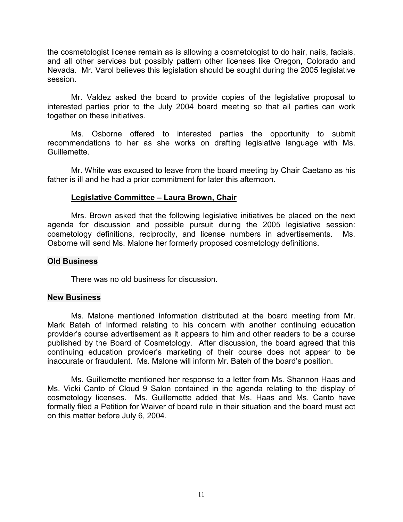the cosmetologist license remain as is allowing a cosmetologist to do hair, nails, facials, and all other services but possibly pattern other licenses like Oregon, Colorado and Nevada. Mr. Varol believes this legislation should be sought during the 2005 legislative session.

Mr. Valdez asked the board to provide copies of the legislative proposal to interested parties prior to the July 2004 board meeting so that all parties can work together on these initiatives.

Ms. Osborne offered to interested parties the opportunity to submit recommendations to her as she works on drafting legislative language with Ms. Guillemette.

Mr. White was excused to leave from the board meeting by Chair Caetano as his father is ill and he had a prior commitment for later this afternoon.

## **Legislative Committee – Laura Brown, Chair**

Mrs. Brown asked that the following legislative initiatives be placed on the next agenda for discussion and possible pursuit during the 2005 legislative session: cosmetology definitions, reciprocity, and license numbers in advertisements. Ms. Osborne will send Ms. Malone her formerly proposed cosmetology definitions.

## **Old Business**

There was no old business for discussion.

## **New Business**

Ms. Malone mentioned information distributed at the board meeting from Mr. Mark Bateh of Informed relating to his concern with another continuing education provider's course advertisement as it appears to him and other readers to be a course published by the Board of Cosmetology. After discussion, the board agreed that this continuing education provider's marketing of their course does not appear to be inaccurate or fraudulent. Ms. Malone will inform Mr. Bateh of the board's position.

Ms. Guillemette mentioned her response to a letter from Ms. Shannon Haas and Ms. Vicki Canto of Cloud 9 Salon contained in the agenda relating to the display of cosmetology licenses. Ms. Guillemette added that Ms. Haas and Ms. Canto have formally filed a Petition for Waiver of board rule in their situation and the board must act on this matter before July 6, 2004.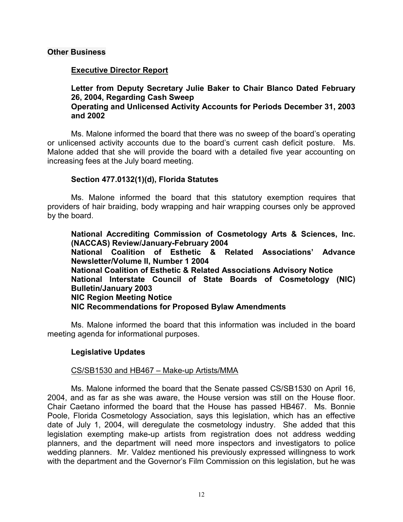## **Other Business**

# **Executive Director Report**

**Letter from Deputy Secretary Julie Baker to Chair Blanco Dated February 26, 2004, Regarding Cash Sweep Operating and Unlicensed Activity Accounts for Periods December 31, 2003 and 2002**

Ms. Malone informed the board that there was no sweep of the board's operating or unlicensed activity accounts due to the board's current cash deficit posture. Ms. Malone added that she will provide the board with a detailed five year accounting on increasing fees at the July board meeting.

## **Section 477.0132(1)(d), Florida Statutes**

Ms. Malone informed the board that this statutory exemption requires that providers of hair braiding, body wrapping and hair wrapping courses only be approved by the board.

**National Accrediting Commission of Cosmetology Arts & Sciences, Inc. (NACCAS) Review/January-February 2004 National Coalition of Esthetic & Related Associations' Advance Newsletter/Volume II, Number 1 2004 National Coalition of Esthetic & Related Associations Advisory Notice National Interstate Council of State Boards of Cosmetology (NIC) Bulletin/January 2003 NIC Region Meeting Notice NIC Recommendations for Proposed Bylaw Amendments**

Ms. Malone informed the board that this information was included in the board meeting agenda for informational purposes.

# **Legislative Updates**

# CS/SB1530 and HB467 – Make-up Artists/MMA

Ms. Malone informed the board that the Senate passed CS/SB1530 on April 16, 2004, and as far as she was aware, the House version was still on the House floor. Chair Caetano informed the board that the House has passed HB467. Ms. Bonnie Poole, Florida Cosmetology Association, says this legislation, which has an effective date of July 1, 2004, will deregulate the cosmetology industry. She added that this legislation exempting make-up artists from registration does not address wedding planners, and the department will need more inspectors and investigators to police wedding planners. Mr. Valdez mentioned his previously expressed willingness to work with the department and the Governor's Film Commission on this legislation, but he was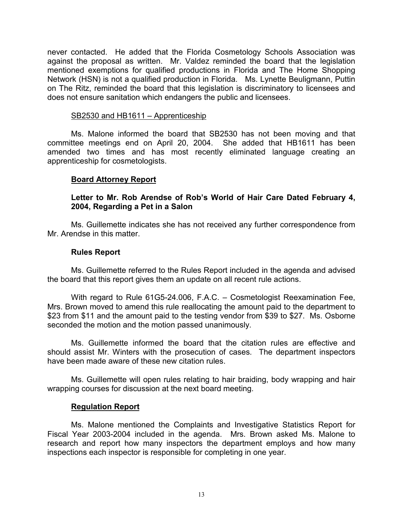never contacted. He added that the Florida Cosmetology Schools Association was against the proposal as written. Mr. Valdez reminded the board that the legislation mentioned exemptions for qualified productions in Florida and The Home Shopping Network (HSN) is not a qualified production in Florida. Ms. Lynette Beuligmann, Puttin on The Ritz, reminded the board that this legislation is discriminatory to licensees and does not ensure sanitation which endangers the public and licensees.

## SB2530 and HB1611 – Apprenticeship

Ms. Malone informed the board that SB2530 has not been moving and that committee meetings end on April 20, 2004. She added that HB1611 has been amended two times and has most recently eliminated language creating an apprenticeship for cosmetologists.

# **Board Attorney Report**

# **Letter to Mr. Rob Arendse of Rob's World of Hair Care Dated February 4, 2004, Regarding a Pet in a Salon**

Ms. Guillemette indicates she has not received any further correspondence from Mr. Arendse in this matter.

## **Rules Report**

Ms. Guillemette referred to the Rules Report included in the agenda and advised the board that this report gives them an update on all recent rule actions.

With regard to Rule 61G5-24.006, F.A.C. – Cosmetologist Reexamination Fee, Mrs. Brown moved to amend this rule reallocating the amount paid to the department to \$23 from \$11 and the amount paid to the testing vendor from \$39 to \$27. Ms. Osborne seconded the motion and the motion passed unanimously.

Ms. Guillemette informed the board that the citation rules are effective and should assist Mr. Winters with the prosecution of cases. The department inspectors have been made aware of these new citation rules.

Ms. Guillemette will open rules relating to hair braiding, body wrapping and hair wrapping courses for discussion at the next board meeting.

## **Regulation Report**

Ms. Malone mentioned the Complaints and Investigative Statistics Report for Fiscal Year 2003-2004 included in the agenda. Mrs. Brown asked Ms. Malone to research and report how many inspectors the department employs and how many inspections each inspector is responsible for completing in one year.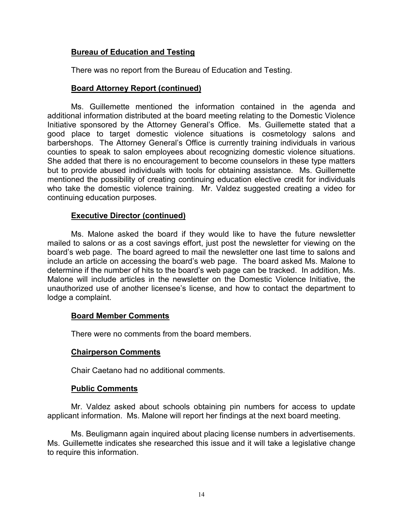# **Bureau of Education and Testing**

There was no report from the Bureau of Education and Testing.

# **Board Attorney Report (continued)**

Ms. Guillemette mentioned the information contained in the agenda and additional information distributed at the board meeting relating to the Domestic Violence Initiative sponsored by the Attorney General's Office. Ms. Guillemette stated that a good place to target domestic violence situations is cosmetology salons and barbershops. The Attorney General's Office is currently training individuals in various counties to speak to salon employees about recognizing domestic violence situations. She added that there is no encouragement to become counselors in these type matters but to provide abused individuals with tools for obtaining assistance. Ms. Guillemette mentioned the possibility of creating continuing education elective credit for individuals who take the domestic violence training. Mr. Valdez suggested creating a video for continuing education purposes.

# **Executive Director (continued)**

Ms. Malone asked the board if they would like to have the future newsletter mailed to salons or as a cost savings effort, just post the newsletter for viewing on the board's web page. The board agreed to mail the newsletter one last time to salons and include an article on accessing the board's web page. The board asked Ms. Malone to determine if the number of hits to the board's web page can be tracked. In addition, Ms. Malone will include articles in the newsletter on the Domestic Violence Initiative, the unauthorized use of another licensee's license, and how to contact the department to lodge a complaint.

# **Board Member Comments**

There were no comments from the board members.

## **Chairperson Comments**

Chair Caetano had no additional comments.

## **Public Comments**

Mr. Valdez asked about schools obtaining pin numbers for access to update applicant information. Ms. Malone will report her findings at the next board meeting.

Ms. Beuligmann again inquired about placing license numbers in advertisements. Ms. Guillemette indicates she researched this issue and it will take a legislative change to require this information.